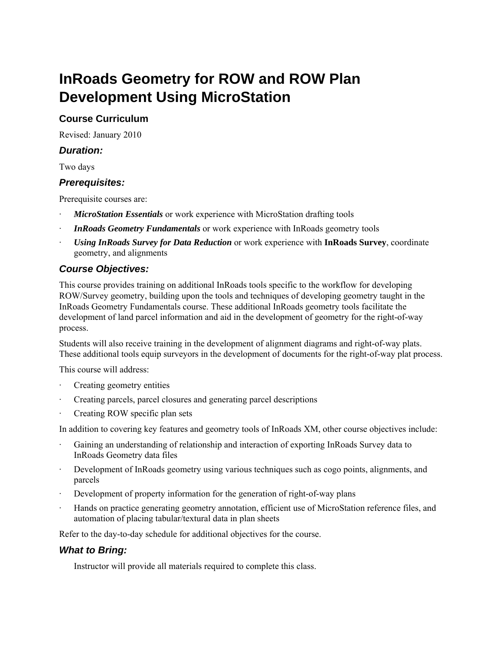# **InRoads Geometry for ROW and ROW Plan Development Using MicroStation**

# **Course Curriculum**

Revised: January 2010

# *Duration:*

Two days

# *Prerequisites:*

Prerequisite courses are:

- **MicroStation Essentials** or work experience with MicroStation drafting tools
- **InRoads Geometry Fundamentals** or work experience with InRoads geometry tools
- · *Using InRoads Survey for Data Reduction* or work experience with **InRoads Survey**, coordinate geometry, and alignments

# *Course Objectives:*

This course provides training on additional InRoads tools specific to the workflow for developing ROW/Survey geometry, building upon the tools and techniques of developing geometry taught in the InRoads Geometry Fundamentals course. These additional InRoads geometry tools facilitate the development of land parcel information and aid in the development of geometry for the right-of-way process.

Students will also receive training in the development of alignment diagrams and right-of-way plats. These additional tools equip surveyors in the development of documents for the right-of-way plat process.

This course will address:

- Creating geometry entities
- · Creating parcels, parcel closures and generating parcel descriptions
- Creating ROW specific plan sets

In addition to covering key features and geometry tools of InRoads XM, other course objectives include:

- Gaining an understanding of relationship and interaction of exporting InRoads Survey data to InRoads Geometry data files
- Development of InRoads geometry using various techniques such as cogo points, alignments, and parcels
- Development of property information for the generation of right-of-way plans
- · Hands on practice generating geometry annotation, efficient use of MicroStation reference files, and automation of placing tabular/textural data in plan sheets

Refer to the day-to-day schedule for additional objectives for the course.

#### *What to Bring:*

Instructor will provide all materials required to complete this class.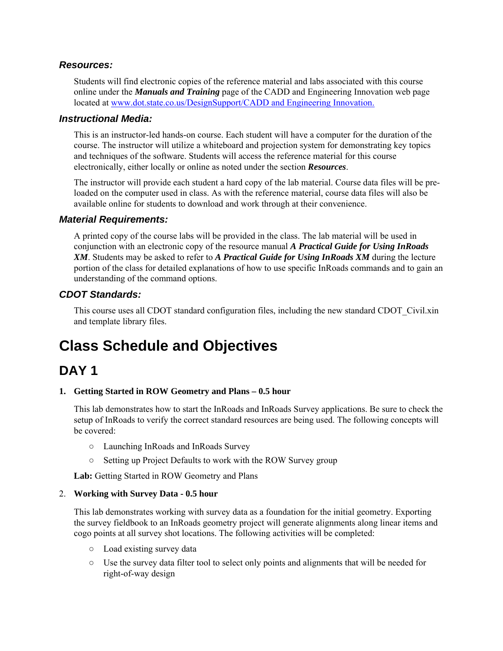### *Resources:*

Students will find electronic copies of the reference material and labs associated with this course online under the *Manuals and Training* page of the CADD and Engineering Innovation web page located at www.dot.state.co.us/DesignSupport/CADD and Engineering Innovation.

#### *Instructional Media:*

This is an instructor-led hands-on course. Each student will have a computer for the duration of the course. The instructor will utilize a whiteboard and projection system for demonstrating key topics and techniques of the software. Students will access the reference material for this course electronically, either locally or online as noted under the section *Resources*.

The instructor will provide each student a hard copy of the lab material. Course data files will be preloaded on the computer used in class. As with the reference material, course data files will also be available online for students to download and work through at their convenience.

### *Material Requirements:*

A printed copy of the course labs will be provided in the class. The lab material will be used in conjunction with an electronic copy of the resource manual *A Practical Guide for Using InRoads XM*. Students may be asked to refer to *A Practical Guide for Using InRoads XM* during the lecture portion of the class for detailed explanations of how to use specific InRoads commands and to gain an understanding of the command options.

# *CDOT Standards:*

This course uses all CDOT standard configuration files, including the new standard CDOT\_Civil.xin and template library files.

# **Class Schedule and Objectives**

# **DAY 1**

#### **1. Getting Started in ROW Geometry and Plans – 0.5 hour**

This lab demonstrates how to start the InRoads and InRoads Survey applications. Be sure to check the setup of InRoads to verify the correct standard resources are being used. The following concepts will be covered:

- Launching InRoads and InRoads Survey
- Setting up Project Defaults to work with the ROW Survey group

**Lab:** Getting Started in ROW Geometry and Plans

#### 2. **Working with Survey Data - 0.5 hour**

This lab demonstrates working with survey data as a foundation for the initial geometry. Exporting the survey fieldbook to an InRoads geometry project will generate alignments along linear items and cogo points at all survey shot locations. The following activities will be completed:

- Load existing survey data
- Use the survey data filter tool to select only points and alignments that will be needed for right-of-way design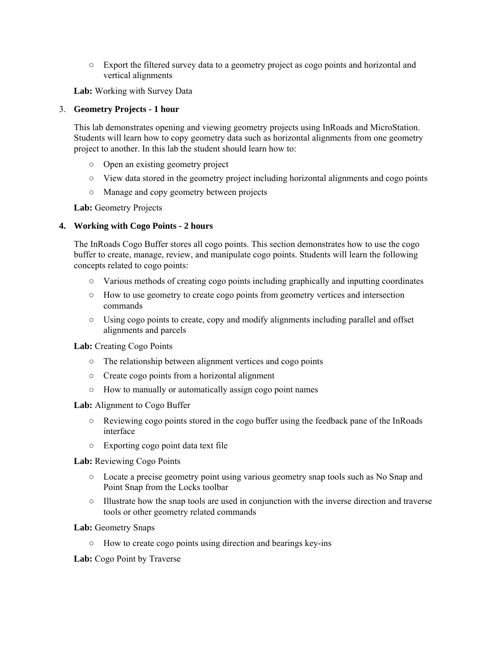○ Export the filtered survey data to a geometry project as cogo points and horizontal and vertical alignments

**Lab:** Working with Survey Data

#### 3. **Geometry Projects - 1 hour**

This lab demonstrates opening and viewing geometry projects using InRoads and MicroStation. Students will learn how to copy geometry data such as horizontal alignments from one geometry project to another. In this lab the student should learn how to:

- Open an existing geometry project
- View data stored in the geometry project including horizontal alignments and cogo points
- Manage and copy geometry between projects

**Lab:** Geometry Projects

#### **4. Working with Cogo Points - 2 hours**

The InRoads Cogo Buffer stores all cogo points. This section demonstrates how to use the cogo buffer to create, manage, review, and manipulate cogo points. Students will learn the following concepts related to cogo points:

- Various methods of creating cogo points including graphically and inputting coordinates
- How to use geometry to create cogo points from geometry vertices and intersection commands
- Using cogo points to create, copy and modify alignments including parallel and offset alignments and parcels

#### **Lab:** Creating Cogo Points

- The relationship between alignment vertices and cogo points
- Create cogo points from a horizontal alignment
- How to manually or automatically assign cogo point names

#### **Lab:** Alignment to Cogo Buffer

- Reviewing cogo points stored in the cogo buffer using the feedback pane of the InRoads interface
- Exporting cogo point data text file

#### **Lab:** Reviewing Cogo Points

- Locate a precise geometry point using various geometry snap tools such as No Snap and Point Snap from the Locks toolbar
- Illustrate how the snap tools are used in conjunction with the inverse direction and traverse tools or other geometry related commands

#### **Lab:** Geometry Snaps

○ How to create cogo points using direction and bearings key-ins

**Lab:** Cogo Point by Traverse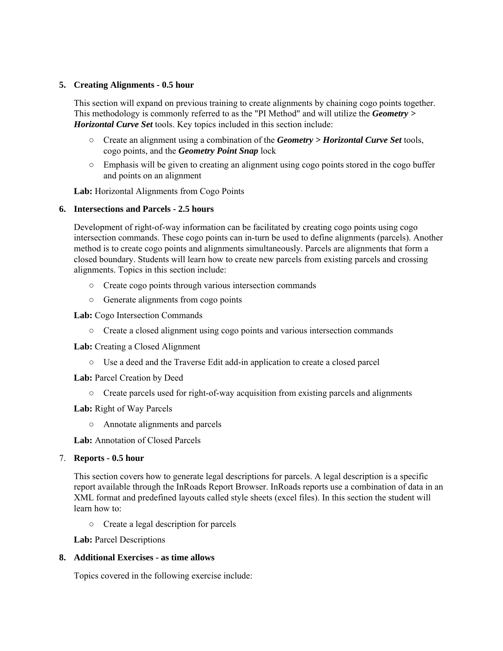#### **5. Creating Alignments - 0.5 hour**

This section will expand on previous training to create alignments by chaining cogo points together. This methodology is commonly referred to as the "PI Method" and will utilize the *Geometry > Horizontal Curve Set* tools. Key topics included in this section include:

- Create an alignment using a combination of the *Geometry > Horizontal Curve Set* tools, cogo points, and the *Geometry Point Snap* lock
- $\circ$  Emphasis will be given to creating an alignment using cogo points stored in the cogo buffer and points on an alignment

**Lab:** Horizontal Alignments from Cogo Points

#### **6. Intersections and Parcels - 2.5 hours**

Development of right-of-way information can be facilitated by creating cogo points using cogo intersection commands. These cogo points can in-turn be used to define alignments (parcels). Another method is to create cogo points and alignments simultaneously. Parcels are alignments that form a closed boundary. Students will learn how to create new parcels from existing parcels and crossing alignments. Topics in this section include:

- Create cogo points through various intersection commands
- Generate alignments from cogo points

**Lab:** Cogo Intersection Commands

○ Create a closed alignment using cogo points and various intersection commands

**Lab:** Creating a Closed Alignment

○ Use a deed and the Traverse Edit add-in application to create a closed parcel

**Lab:** Parcel Creation by Deed

○ Create parcels used for right-of-way acquisition from existing parcels and alignments

**Lab:** Right of Way Parcels

○ Annotate alignments and parcels

**Lab:** Annotation of Closed Parcels

#### 7. **Reports - 0.5 hour**

This section covers how to generate legal descriptions for parcels. A legal description is a specific report available through the InRoads Report Browser. InRoads reports use a combination of data in an XML format and predefined layouts called style sheets (excel files). In this section the student will learn how to:

○ Create a legal description for parcels

**Lab:** Parcel Descriptions

#### **8. Additional Exercises - as time allows**

Topics covered in the following exercise include: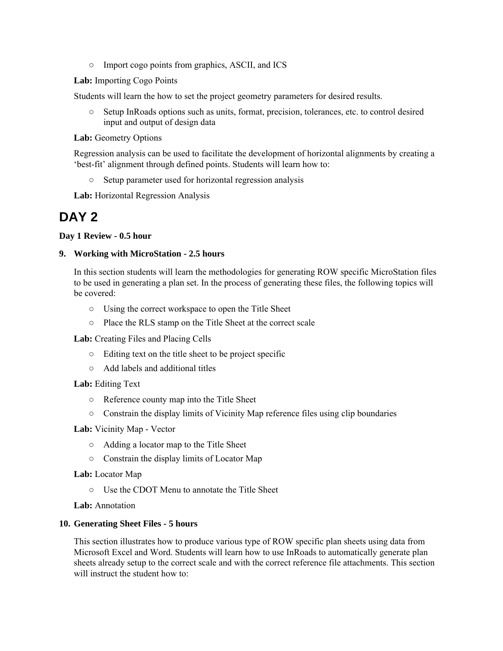○ Import cogo points from graphics, ASCII, and ICS

**Lab:** Importing Cogo Points

Students will learn the how to set the project geometry parameters for desired results.

○ Setup InRoads options such as units, format, precision, tolerances, etc. to control desired input and output of design data

**Lab:** Geometry Options

Regression analysis can be used to facilitate the development of horizontal alignments by creating a 'best-fit' alignment through defined points. Students will learn how to:

○ Setup parameter used for horizontal regression analysis

**Lab:** Horizontal Regression Analysis

# **DAY 2**

**Day 1 Review - 0.5 hour** 

#### **9. Working with MicroStation - 2.5 hours**

In this section students will learn the methodologies for generating ROW specific MicroStation files to be used in generating a plan set. In the process of generating these files, the following topics will be covered:

- Using the correct workspace to open the Title Sheet
- Place the RLS stamp on the Title Sheet at the correct scale

**Lab:** Creating Files and Placing Cells

- Editing text on the title sheet to be project specific
- Add labels and additional titles

#### **Lab:** Editing Text

- Reference county map into the Title Sheet
- Constrain the display limits of Vicinity Map reference files using clip boundaries

**Lab:** Vicinity Map - Vector

- Adding a locator map to the Title Sheet
- Constrain the display limits of Locator Map

**Lab:** Locator Map

○ Use the CDOT Menu to annotate the Title Sheet

**Lab:** Annotation

#### **10. Generating Sheet Files - 5 hours**

This section illustrates how to produce various type of ROW specific plan sheets using data from Microsoft Excel and Word. Students will learn how to use InRoads to automatically generate plan sheets already setup to the correct scale and with the correct reference file attachments. This section will instruct the student how to: